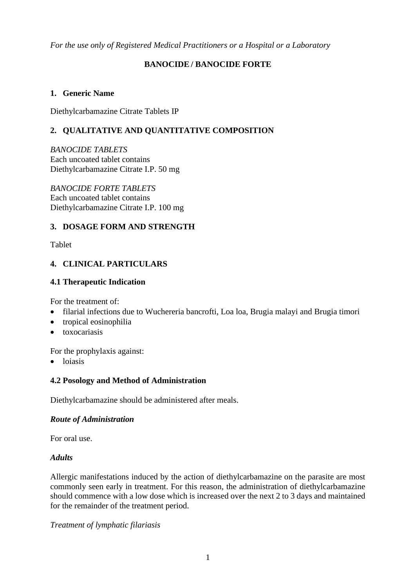*For the use only of Registered Medical Practitioners or a Hospital or a Laboratory*

# **BANOCIDE / BANOCIDE FORTE**

#### **1. Generic Name**

Diethylcarbamazine Citrate Tablets IP

# **2. QUALITATIVE AND QUANTITATIVE COMPOSITION**

*BANOCIDE TABLETS* Each uncoated tablet contains Diethylcarbamazine Citrate I.P. 50 mg

*BANOCIDE FORTE TABLETS* Each uncoated tablet contains Diethylcarbamazine Citrate I.P. 100 mg

## **3. DOSAGE FORM AND STRENGTH**

Tablet

# **4. CLINICAL PARTICULARS**

## **4.1 Therapeutic Indication**

For the treatment of:

- filarial infections due to Wuchereria bancrofti, Loa loa, Brugia malayi and Brugia timori
- tropical eosinophilia
- toxocariasis

For the prophylaxis against:

• loiasis

# **4.2 Posology and Method of Administration**

Diethylcarbamazine should be administered after meals.

# *Route of Administration*

For oral use.

#### *Adults*

Allergic manifestations induced by the action of diethylcarbamazine on the parasite are most commonly seen early in treatment. For this reason, the administration of diethylcarbamazine should commence with a low dose which is increased over the next 2 to 3 days and maintained for the remainder of the treatment period.

*Treatment of lymphatic filariasis*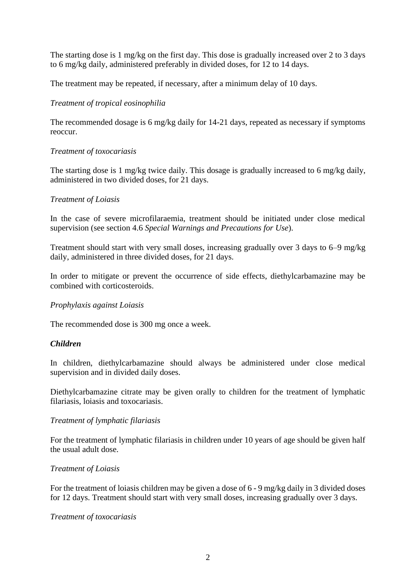The starting dose is 1 mg/kg on the first day. This dose is gradually increased over 2 to 3 days to 6 mg/kg daily, administered preferably in divided doses, for 12 to 14 days.

The treatment may be repeated, if necessary, after a minimum delay of 10 days.

# *Treatment of tropical eosinophilia*

The recommended dosage is 6 mg/kg daily for 14-21 days, repeated as necessary if symptoms reoccur.

# *Treatment of toxocariasis*

The starting dose is 1 mg/kg twice daily. This dosage is gradually increased to 6 mg/kg daily, administered in two divided doses, for 21 days.

## *Treatment of Loiasis*

In the case of severe microfilaraemia, treatment should be initiated under close medical supervision (see section 4.6 *Special Warnings and Precautions for Use*).

Treatment should start with very small doses, increasing gradually over 3 days to 6–9 mg/kg daily, administered in three divided doses, for 21 days.

In order to mitigate or prevent the occurrence of side effects, diethylcarbamazine may be combined with corticosteroids.

#### *Prophylaxis against Loiasis*

The recommended dose is 300 mg once a week.

#### *Children*

In children, diethylcarbamazine should always be administered under close medical supervision and in divided daily doses.

Diethylcarbamazine citrate may be given orally to children for the treatment of lymphatic filariasis, loiasis and toxocariasis.

#### *Treatment of lymphatic filariasis*

For the treatment of lymphatic filariasis in children under 10 years of age should be given half the usual adult dose.

# *Treatment of Loiasis*

For the treatment of loiasis children may be given a dose of 6 - 9 mg/kg daily in 3 divided doses for 12 days. Treatment should start with very small doses, increasing gradually over 3 days.

#### *Treatment of toxocariasis*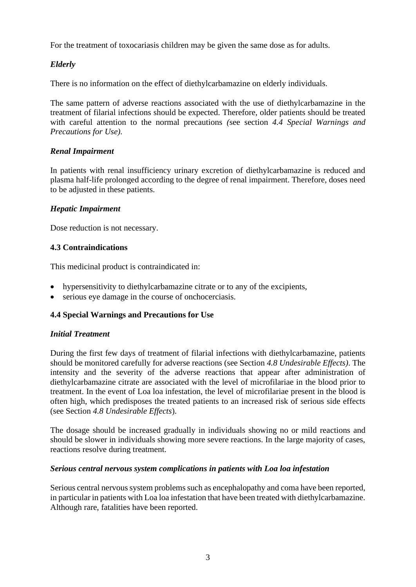For the treatment of toxocariasis children may be given the same dose as for adults.

# *Elderly*

There is no information on the effect of diethylcarbamazine on elderly individuals.

The same pattern of adverse reactions associated with the use of diethylcarbamazine in the treatment of filarial infections should be expected. Therefore, older patients should be treated with careful attention to the normal precautions *(*see section *4.4 Special Warnings and Precautions for Use).*

# *Renal Impairment*

In patients with renal insufficiency urinary excretion of diethylcarbamazine is reduced and plasma half-life prolonged according to the degree of renal impairment. Therefore, doses need to be adjusted in these patients.

# *Hepatic Impairment*

Dose reduction is not necessary.

# **4.3 Contraindications**

This medicinal product is contraindicated in:

- hypersensitivity to diethylcarbamazine citrate or to any of the excipients,
- serious eye damage in the course of onchocerciasis.

# **4.4 Special Warnings and Precautions for Use**

# *Initial Treatment*

During the first few days of treatment of filarial infections with diethylcarbamazine, patients should be monitored carefully for adverse reactions (see Section *4.8 Undesirable Effects)*. The intensity and the severity of the adverse reactions that appear after administration of diethylcarbamazine citrate are associated with the level of microfilariae in the blood prior to treatment. In the event of Loa loa infestation, the level of microfilariae present in the blood is often high, which predisposes the treated patients to an increased risk of serious side effects (see Section *4.8 Undesirable Effects*).

The dosage should be increased gradually in individuals showing no or mild reactions and should be slower in individuals showing more severe reactions. In the large majority of cases, reactions resolve during treatment.

# *Serious central nervous system complications in patients with Loa loa infestation*

Serious central nervous system problems such as encephalopathy and coma have been reported, in particular in patients with Loa loa infestation that have been treated with diethylcarbamazine. Although rare, fatalities have been reported.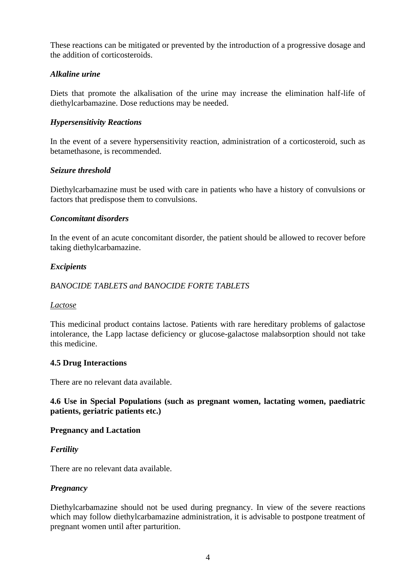These reactions can be mitigated or prevented by the introduction of a progressive dosage and the addition of corticosteroids.

## *Alkaline urine*

Diets that promote the alkalisation of the urine may increase the elimination half-life of diethylcarbamazine. Dose reductions may be needed.

## *Hypersensitivity Reactions*

In the event of a severe hypersensitivity reaction, administration of a corticosteroid, such as betamethasone, is recommended.

#### *Seizure threshold*

Diethylcarbamazine must be used with care in patients who have a history of convulsions or factors that predispose them to convulsions.

#### *Concomitant disorders*

In the event of an acute concomitant disorder, the patient should be allowed to recover before taking diethylcarbamazine.

## *Excipients*

## *BANOCIDE TABLETS and BANOCIDE FORTE TABLETS*

#### *Lactose*

This medicinal product contains lactose. Patients with rare hereditary problems of galactose intolerance, the Lapp lactase deficiency or glucose-galactose malabsorption should not take this medicine.

#### **4.5 Drug Interactions**

There are no relevant data available.

# **4.6 Use in Special Populations (such as pregnant women, lactating women, paediatric patients, geriatric patients etc.)**

#### **Pregnancy and Lactation**

# *Fertility*

There are no relevant data available.

#### *Pregnancy*

Diethylcarbamazine should not be used during pregnancy. In view of the severe reactions which may follow diethylcarbamazine administration, it is advisable to postpone treatment of pregnant women until after parturition.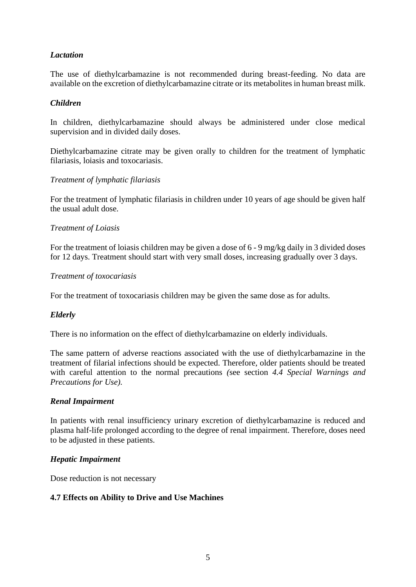# *Lactation*

The use of diethylcarbamazine is not recommended during breast-feeding. No data are available on the excretion of diethylcarbamazine citrate or its metabolites in human breast milk.

## *Children*

In children, diethylcarbamazine should always be administered under close medical supervision and in divided daily doses.

Diethylcarbamazine citrate may be given orally to children for the treatment of lymphatic filariasis, loiasis and toxocariasis.

## *Treatment of lymphatic filariasis*

For the treatment of lymphatic filariasis in children under 10 years of age should be given half the usual adult dose.

## *Treatment of Loiasis*

For the treatment of loiasis children may be given a dose of 6 - 9 mg/kg daily in 3 divided doses for 12 days. Treatment should start with very small doses, increasing gradually over 3 days.

## *Treatment of toxocariasis*

For the treatment of toxocariasis children may be given the same dose as for adults.

# *Elderly*

There is no information on the effect of diethylcarbamazine on elderly individuals.

The same pattern of adverse reactions associated with the use of diethylcarbamazine in the treatment of filarial infections should be expected. Therefore, older patients should be treated with careful attention to the normal precautions *(*see section *4.4 Special Warnings and Precautions for Use).*

#### *Renal Impairment*

In patients with renal insufficiency urinary excretion of diethylcarbamazine is reduced and plasma half-life prolonged according to the degree of renal impairment. Therefore, doses need to be adjusted in these patients.

#### *Hepatic Impairment*

Dose reduction is not necessary

# **4.7 Effects on Ability to Drive and Use Machines**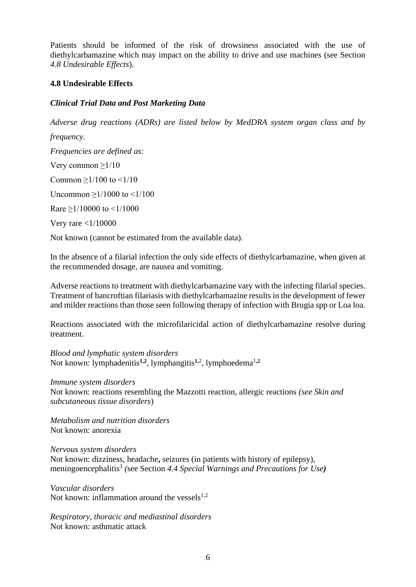Patients should be informed of the risk of drowsiness associated with the use of diethylcarbamazine which may impact on the ability to drive and use machines (see Section *4.8 Undesirable Effects*).

# **4.8 Undesirable Effects**

# *Clinical Trial Data and Post Marketing Data*

*Adverse drug reactions (ADRs) are listed below by MedDRA system organ class and by* 

*frequency.*

*Frequencies are defined as:*

Very common  $\geq 1/10$ 

Common  $>1/100$  to  $<1/10$ 

Uncommon  $>1/1000$  to  $<1/100$ 

Rare  $\geq$ 1/10000 to <1/1000

Very rare <1/10000

Not known (cannot be estimated from the available data).

In the absence of a filarial infection the only side effects of diethylcarbamazine, when given at the recommended dosage, are nausea and vomiting.

Adverse reactions to treatment with diethylcarbamazine vary with the infecting filarial species. Treatment of bancroftian filariasis with diethylcarbamazine results in the development of fewer and milder reactions than those seen following therapy of infection with Brugia spp or Loa loa.

Reactions associated with the microfilaricidal action of diethylcarbamazine resolve during treatment.

*Blood and lymphatic system disorders* Not known: lymphadenitis<sup>1,2</sup>, lymphangitis<sup>1,2</sup>, lymphoedema<sup>1,2</sup>

#### *Immune system disorders*

Not known: reactions resembling the Mazzotti reaction, allergic reactions *(see Skin and subcutaneous tissue disorders*)

*Metabolism and nutrition disorders* Not known: anorexia

*Nervous system disorders* Not known: dizziness, headache**,** seizures (in patients with history of epilepsy), meningoencephalitis<sup>3</sup> (see Section 4.4 Special Warnings and Precautions for Use)

*Vascular disorders* Not known: inflammation around the vessels $1,2$ 

*Respiratory, thoracic and mediastinal disorders* Not known: asthmatic attack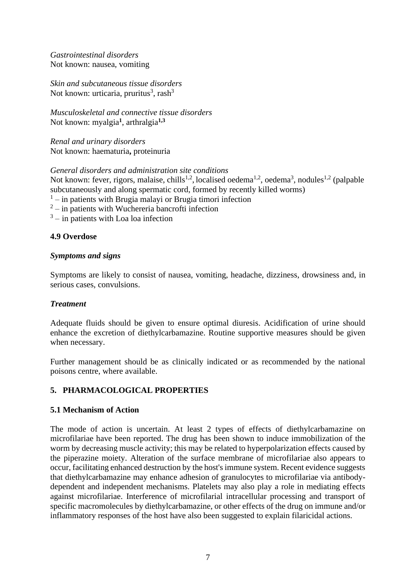*Gastrointestinal disorders* Not known: nausea, vomiting

*Skin and subcutaneous tissue disorders* Not known: urticaria, pruritus<sup>3</sup>, rash<sup>3</sup>

*Musculoskeletal and connective tissue disorders* Not known: myalgia**<sup>1</sup>** , arthralgia**1,3**

*Renal and urinary disorders* Not known: haematuria**,** proteinuria

*General disorders and administration site conditions*

Not known: fever, rigors, malaise, chills<sup>1,2</sup>, localised oedema<sup>1,2</sup>, oedema<sup>3</sup>, nodules<sup>1,2</sup> (palpable subcutaneously and along spermatic cord, formed by recently killed worms)

- <sup>1</sup> in patients with Brugia malayi or Brugia timori infection
- $2$  in patients with Wuchereria bancrofti infection
- $3$  in patients with Loa loa infection

# **4.9 Overdose**

#### *Symptoms and signs*

Symptoms are likely to consist of nausea, vomiting, headache, dizziness, drowsiness and, in serious cases, convulsions.

#### *Treatment*

Adequate fluids should be given to ensure optimal diuresis. Acidification of urine should enhance the excretion of diethylcarbamazine. Routine supportive measures should be given when necessary.

Further management should be as clinically indicated or as recommended by the national poisons centre, where available.

# **5. PHARMACOLOGICAL PROPERTIES**

#### **5.1 Mechanism of Action**

The mode of action is uncertain. At least 2 types of effects of diethylcarbamazine on microfilariae have been reported. The drug has been shown to induce immobilization of the worm by decreasing muscle activity; this may be related to hyperpolarization effects caused by the piperazine moiety. Alteration of the surface membrane of microfilariae also appears to occur, facilitating enhanced destruction by the host's immune system. Recent evidence suggests that diethylcarbamazine may enhance adhesion of granulocytes to microfilariae via antibodydependent and independent mechanisms. Platelets may also play a role in mediating effects against microfilariae. Interference of microfilarial intracellular processing and transport of specific macromolecules by diethylcarbamazine, or other effects of the drug on immune and/or inflammatory responses of the host have also been suggested to explain filaricidal actions.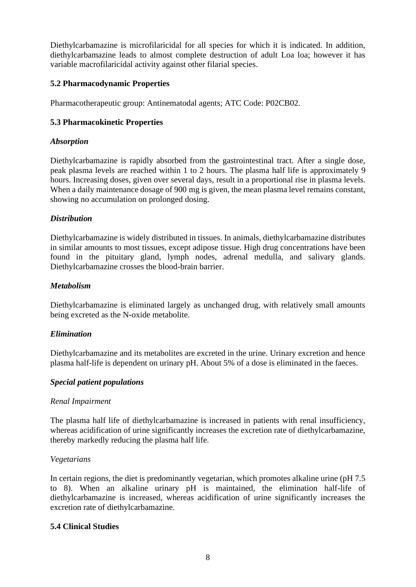Diethylcarbamazine is microfilaricidal for all species for which it is indicated. In addition, diethylcarbamazine leads to almost complete destruction of adult Loa loa; however it has variable macrofilaricidal activity against other filarial species.

# **5.2 Pharmacodynamic Properties**

Pharmacotherapeutic group: Antinematodal agents; ATC Code: P02CB02.

## **5.3 Pharmacokinetic Properties**

## *Absorption*

Diethylcarbamazine is rapidly absorbed from the gastrointestinal tract. After a single dose, peak plasma levels are reached within 1 to 2 hours. The plasma half life is approximately 9 hours. Increasing doses, given over several days, result in a proportional rise in plasma levels. When a daily maintenance dosage of 900 mg is given, the mean plasma level remains constant, showing no accumulation on prolonged dosing.

#### *Distribution*

Diethylcarbamazine is widely distributed in tissues. In animals, diethylcarbamazine distributes in similar amounts to most tissues, except adipose tissue. High drug concentrations have been found in the pituitary gland, lymph nodes, adrenal medulla, and salivary glands. Diethylcarbamazine crosses the blood-brain barrier.

## *Metabolism*

Diethylcarbamazine is eliminated largely as unchanged drug, with relatively small amounts being excreted as the N-oxide metabolite.

#### *Elimination*

Diethylcarbamazine and its metabolites are excreted in the urine. Urinary excretion and hence plasma half-life is dependent on urinary pH. About 5% of a dose is eliminated in the faeces.

#### *Special patient populations*

#### *Renal Impairment*

The plasma half life of diethylcarbamazine is increased in patients with renal insufficiency, whereas acidification of urine significantly increases the excretion rate of diethylcarbamazine, thereby markedly reducing the plasma half life.

#### *Vegetarians*

In certain regions, the diet is predominantly vegetarian, which promotes alkaline urine (pH 7.5 to 8). When an alkaline urinary pH is maintained, the elimination half-life of diethylcarbamazine is increased, whereas acidification of urine significantly increases the excretion rate of diethylcarbamazine.

# **5.4 Clinical Studies**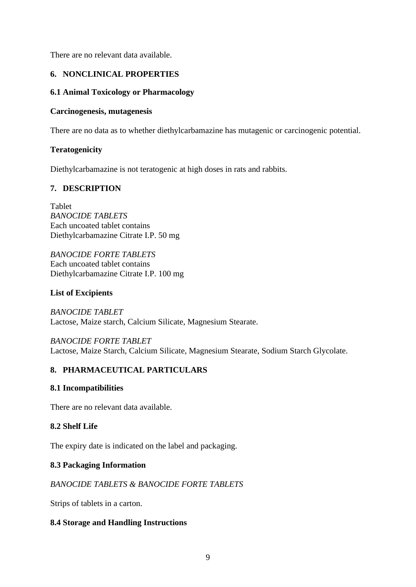There are no relevant data available.

# **6. NONCLINICAL PROPERTIES**

# **6.1 Animal Toxicology or Pharmacology**

#### **Carcinogenesis, mutagenesis**

There are no data as to whether diethylcarbamazine has mutagenic or carcinogenic potential.

# **Teratogenicity**

Diethylcarbamazine is not teratogenic at high doses in rats and rabbits.

# **7. DESCRIPTION**

Tablet *BANOCIDE TABLETS* Each uncoated tablet contains Diethylcarbamazine Citrate I.P. 50 mg

*BANOCIDE FORTE TABLETS* Each uncoated tablet contains Diethylcarbamazine Citrate I.P. 100 mg

#### **List of Excipients**

*BANOCIDE TABLET* Lactose, Maize starch, Calcium Silicate, Magnesium Stearate.

*BANOCIDE FORTE TABLET* Lactose, Maize Starch, Calcium Silicate, Magnesium Stearate, Sodium Starch Glycolate.

# **8. PHARMACEUTICAL PARTICULARS**

#### **8.1 Incompatibilities**

There are no relevant data available.

# **8.2 Shelf Life**

The expiry date is indicated on the label and packaging.

# **8.3 Packaging Information**

# *BANOCIDE TABLETS & BANOCIDE FORTE TABLETS*

Strips of tablets in a carton.

#### **8.4 Storage and Handling Instructions**